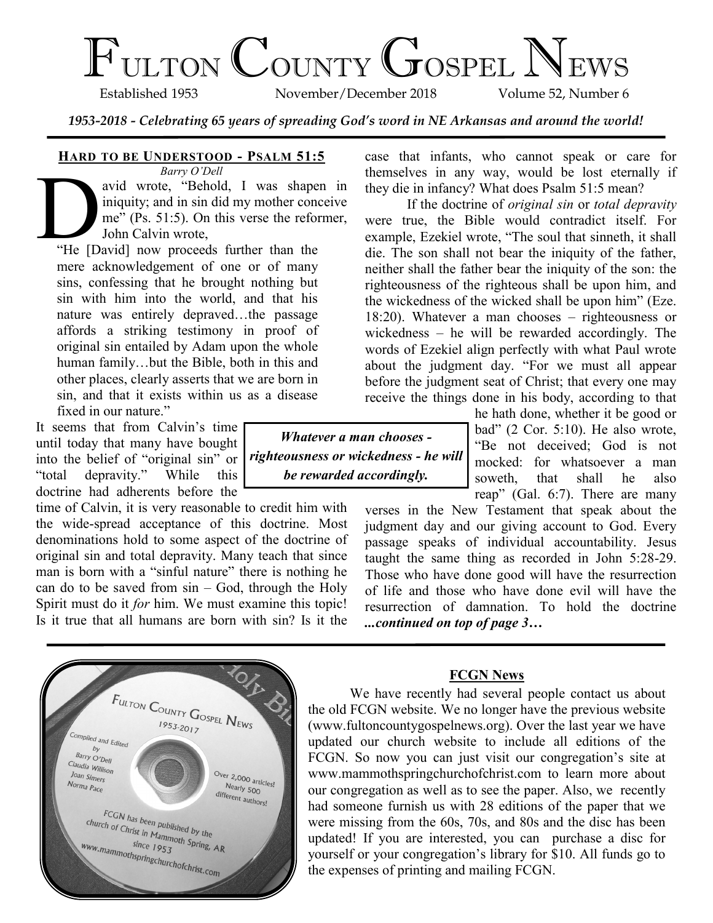# FULTON COUNTY GOSPEL NEWS

November/December 2018

*1953-2018 - Celebrating 65 years of spreading God's word in NE Arkansas and around the world!*

# **HARD TO BE UNDERSTOOD - PSALM 51:5**

*Barry O'Dell* Barry O'Dell<br>
avid wrote, "Behold, I was shaper<br>
iniquity; and in sin did my mother conce<br>
me" (Ps. 51:5). On this verse the refor<br>
John Calvin wrote,<br>
"He [David] now proceeds further than the avid wrote, "Behold, I was shapen in iniquity; and in sin did my mother conceive me" (Ps. 51:5). On this verse the reformer, John Calvin wrote,

mere acknowledgement of one or of many sins, confessing that he brought nothing but sin with him into the world, and that his nature was entirely depraved…the passage affords a striking testimony in proof of original sin entailed by Adam upon the whole human family…but the Bible, both in this and other places, clearly asserts that we are born in sin, and that it exists within us as a disease fixed in our nature."

It seems that from Calvin's time until today that many have bought into the belief of "original sin" or "total depravity." While this doctrine had adherents before the

time of Calvin, it is very reasonable to credit him with the wide-spread acceptance of this doctrine. Most denominations hold to some aspect of the doctrine of original sin and total depravity. Many teach that since man is born with a "sinful nature" there is nothing he can do to be saved from  $sin - God$ , through the Holy Spirit must do it *for* him. We must examine this topic! Is it true that all humans are born with sin? Is it the case that infants, who cannot speak or care for themselves in any way, would be lost eternally if they die in infancy? What does Psalm 51:5 mean?

If the doctrine of *original sin* or *total depravity* were true, the Bible would contradict itself. For example, Ezekiel wrote, "The soul that sinneth, it shall die. The son shall not bear the iniquity of the father, neither shall the father bear the iniquity of the son: the righteousness of the righteous shall be upon him, and the wickedness of the wicked shall be upon him" (Eze. 18:20). Whatever a man chooses – righteousness or wickedness – he will be rewarded accordingly. The words of Ezekiel align perfectly with what Paul wrote about the judgment day. "For we must all appear before the judgment seat of Christ; that every one may receive the things done in his body, according to that

he hath done, whether it be good or bad" (2 Cor. 5:10). He also wrote, "Be not deceived; God is not mocked: for whatsoever a man soweth, that shall he also reap" (Gal. 6:7). There are many

verses in the New Testament that speak about the judgment day and our giving account to God. Every passage speaks of individual accountability. Jesus taught the same thing as recorded in John 5:28-29. Those who have done good will have the resurrection of life and those who have done evil will have the resurrection of damnation. To hold the doctrine *...continued on top of page 3…*

# **FCGN News**

We have recently had several people contact us about the old FCGN website. We no longer have the previous website (www.fultoncountygospelnews.org). Over the last year we have updated our church website to include all editions of the FCGN. So now you can just visit our congregation's site at www.mammothspringchurchofchrist.com to learn more about our congregation as well as to see the paper. Also, we recently had someone furnish us with 28 editions of the paper that we were missing from the 60s, 70s, and 80s and the disc has been updated! If you are interested, you can purchase a disc for yourself or your congregation's library for \$10. All funds go to the expenses of printing and mailing FCGN.



*Whatever a man chooses righteousness or wickedness - he will be rewarded accordingly.*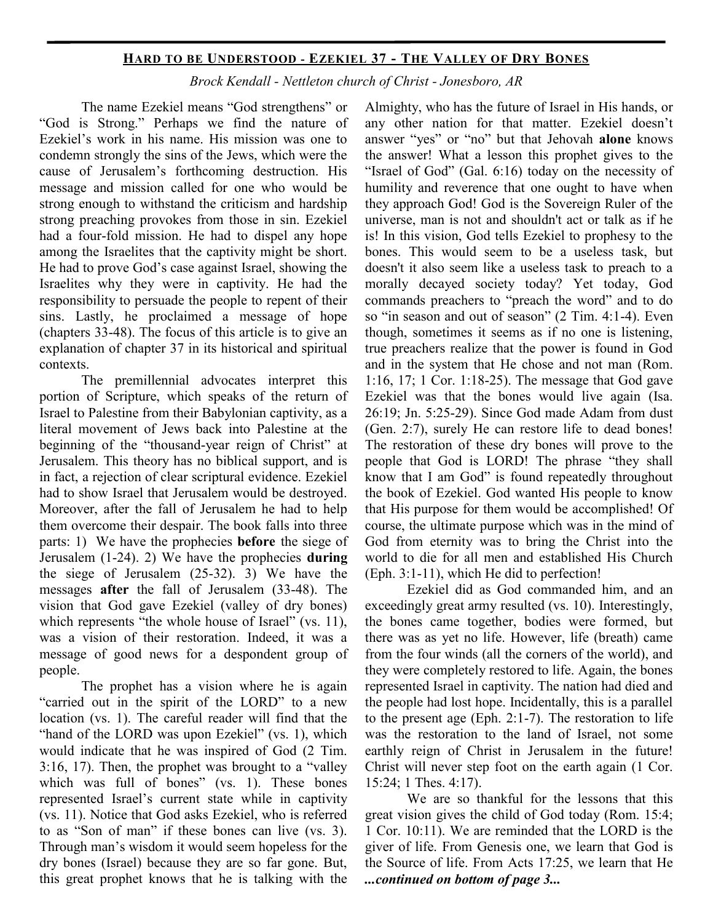# **HARD TO BE UNDERSTOOD - EZEKIEL 37 - THE VALLEY OF DRY BONES**

*Brock Kendall - Nettleton church of Christ - Jonesboro, AR*

The name Ezekiel means "God strengthens" or "God is Strong." Perhaps we find the nature of Ezekiel's work in his name. His mission was one to condemn strongly the sins of the Jews, which were the cause of Jerusalem's forthcoming destruction. His message and mission called for one who would be strong enough to withstand the criticism and hardship strong preaching provokes from those in sin. Ezekiel had a four-fold mission. He had to dispel any hope among the Israelites that the captivity might be short. He had to prove God's case against Israel, showing the Israelites why they were in captivity. He had the responsibility to persuade the people to repent of their sins. Lastly, he proclaimed a message of hope (chapters 33-48). The focus of this article is to give an explanation of chapter 37 in its historical and spiritual contexts.

The premillennial advocates interpret this portion of Scripture, which speaks of the return of Israel to Palestine from their Babylonian captivity, as a literal movement of Jews back into Palestine at the beginning of the "thousand-year reign of Christ" at Jerusalem. This theory has no biblical support, and is in fact, a rejection of clear scriptural evidence. Ezekiel had to show Israel that Jerusalem would be destroyed. Moreover, after the fall of Jerusalem he had to help them overcome their despair. The book falls into three parts: 1) We have the prophecies **before** the siege of Jerusalem (1-24). 2) We have the prophecies **during** the siege of Jerusalem (25-32). 3) We have the messages **after** the fall of Jerusalem (33-48). The vision that God gave Ezekiel (valley of dry bones) which represents "the whole house of Israel" (vs. 11), was a vision of their restoration. Indeed, it was a message of good news for a despondent group of people.

The prophet has a vision where he is again "carried out in the spirit of the LORD" to a new location (vs. 1). The careful reader will find that the "hand of the LORD was upon Ezekiel" (vs. 1), which would indicate that he was inspired of God (2 Tim. 3:16, 17). Then, the prophet was brought to a "valley which was full of bones" (vs. 1). These bones represented Israel's current state while in captivity (vs. 11). Notice that God asks Ezekiel, who is referred to as "Son of man" if these bones can live (vs. 3). Through man's wisdom it would seem hopeless for the dry bones (Israel) because they are so far gone. But, this great prophet knows that he is talking with the

Almighty, who has the future of Israel in His hands, or any other nation for that matter. Ezekiel doesn't answer "yes" or "no" but that Jehovah **alone** knows the answer! What a lesson this prophet gives to the "Israel of God" (Gal. 6:16) today on the necessity of humility and reverence that one ought to have when they approach God! God is the Sovereign Ruler of the universe, man is not and shouldn't act or talk as if he is! In this vision, God tells Ezekiel to prophesy to the bones. This would seem to be a useless task, but doesn't it also seem like a useless task to preach to a morally decayed society today? Yet today, God commands preachers to "preach the word" and to do so "in season and out of season" (2 Tim. 4:1-4). Even though, sometimes it seems as if no one is listening, true preachers realize that the power is found in God and in the system that He chose and not man (Rom. 1:16, 17; 1 Cor. 1:18-25). The message that God gave Ezekiel was that the bones would live again (Isa. 26:19; Jn. 5:25-29). Since God made Adam from dust (Gen. 2:7), surely He can restore life to dead bones! The restoration of these dry bones will prove to the people that God is LORD! The phrase "they shall know that I am God" is found repeatedly throughout the book of Ezekiel. God wanted His people to know that His purpose for them would be accomplished! Of course, the ultimate purpose which was in the mind of God from eternity was to bring the Christ into the world to die for all men and established His Church (Eph. 3:1-11), which He did to perfection!

Ezekiel did as God commanded him, and an exceedingly great army resulted (vs. 10). Interestingly, the bones came together, bodies were formed, but there was as yet no life. However, life (breath) came from the four winds (all the corners of the world), and they were completely restored to life. Again, the bones represented Israel in captivity. The nation had died and the people had lost hope. Incidentally, this is a parallel to the present age (Eph. 2:1-7). The restoration to life was the restoration to the land of Israel, not some earthly reign of Christ in Jerusalem in the future! Christ will never step foot on the earth again (1 Cor. 15:24; 1 Thes. 4:17).

We are so thankful for the lessons that this great vision gives the child of God today (Rom. 15:4; 1 Cor. 10:11). We are reminded that the LORD is the giver of life. From Genesis one, we learn that God is the Source of life. From Acts 17:25, we learn that He *...continued on bottom of page 3...*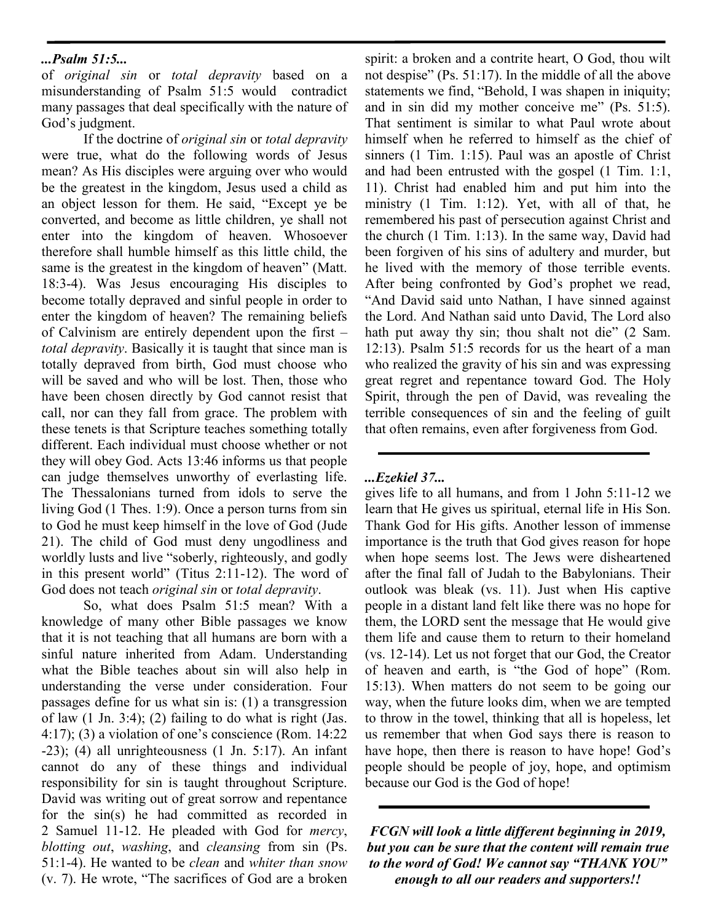# *...Psalm 51:5...*

of *original sin* or *total depravity* based on a misunderstanding of Psalm 51:5 would contradict many passages that deal specifically with the nature of God's judgment.

If the doctrine of *original sin* or *total depravity* were true, what do the following words of Jesus mean? As His disciples were arguing over who would be the greatest in the kingdom, Jesus used a child as an object lesson for them. He said, "Except ye be converted, and become as little children, ye shall not enter into the kingdom of heaven. Whosoever therefore shall humble himself as this little child, the same is the greatest in the kingdom of heaven" (Matt. 18:3-4). Was Jesus encouraging His disciples to become totally depraved and sinful people in order to enter the kingdom of heaven? The remaining beliefs of Calvinism are entirely dependent upon the first – *total depravity*. Basically it is taught that since man is totally depraved from birth, God must choose who will be saved and who will be lost. Then, those who have been chosen directly by God cannot resist that call, nor can they fall from grace. The problem with these tenets is that Scripture teaches something totally different. Each individual must choose whether or not they will obey God. Acts 13:46 informs us that people can judge themselves unworthy of everlasting life. The Thessalonians turned from idols to serve the living God (1 Thes. 1:9). Once a person turns from sin to God he must keep himself in the love of God (Jude 21). The child of God must deny ungodliness and worldly lusts and live "soberly, righteously, and godly in this present world" (Titus 2:11-12). The word of God does not teach *original sin* or *total depravity*.

So, what does Psalm 51:5 mean? With a knowledge of many other Bible passages we know that it is not teaching that all humans are born with a sinful nature inherited from Adam. Understanding what the Bible teaches about sin will also help in understanding the verse under consideration. Four passages define for us what sin is: (1) a transgression of law  $(1 \text{ Jn. } 3:4)$ ;  $(2)$  failing to do what is right (Jas. 4:17); (3) a violation of one's conscience (Rom. 14:22  $-23$ ); (4) all unrighteousness (1 Jn. 5:17). An infant cannot do any of these things and individual responsibility for sin is taught throughout Scripture. David was writing out of great sorrow and repentance for the sin(s) he had committed as recorded in 2 Samuel 11-12. He pleaded with God for *mercy*, *blotting out*, *washing*, and *cleansing* from sin (Ps. 51:1-4). He wanted to be *clean* and *whiter than snow* (v. 7). He wrote, "The sacrifices of God are a broken spirit: a broken and a contrite heart, O God, thou wilt not despise" (Ps. 51:17). In the middle of all the above statements we find, "Behold, I was shapen in iniquity; and in sin did my mother conceive me" (Ps. 51:5). That sentiment is similar to what Paul wrote about himself when he referred to himself as the chief of sinners (1 Tim. 1:15). Paul was an apostle of Christ and had been entrusted with the gospel (1 Tim. 1:1, 11). Christ had enabled him and put him into the ministry (1 Tim. 1:12). Yet, with all of that, he remembered his past of persecution against Christ and the church (1 Tim. 1:13). In the same way, David had been forgiven of his sins of adultery and murder, but he lived with the memory of those terrible events. After being confronted by God's prophet we read, "And David said unto Nathan, I have sinned against the Lord. And Nathan said unto David, The Lord also hath put away thy sin; thou shalt not die" (2 Sam. 12:13). Psalm 51:5 records for us the heart of a man who realized the gravity of his sin and was expressing great regret and repentance toward God. The Holy Spirit, through the pen of David, was revealing the terrible consequences of sin and the feeling of guilt that often remains, even after forgiveness from God.

# *...Ezekiel 37...*

gives life to all humans, and from 1 John 5:11-12 we learn that He gives us spiritual, eternal life in His Son. Thank God for His gifts. Another lesson of immense importance is the truth that God gives reason for hope when hope seems lost. The Jews were disheartened after the final fall of Judah to the Babylonians. Their outlook was bleak (vs. 11). Just when His captive people in a distant land felt like there was no hope for them, the LORD sent the message that He would give them life and cause them to return to their homeland (vs. 12-14). Let us not forget that our God, the Creator of heaven and earth, is "the God of hope" (Rom. 15:13). When matters do not seem to be going our way, when the future looks dim, when we are tempted to throw in the towel, thinking that all is hopeless, let us remember that when God says there is reason to have hope, then there is reason to have hope! God's people should be people of joy, hope, and optimism because our God is the God of hope!

*FCGN will look a little different beginning in 2019, but you can be sure that the content will remain true to the word of God! We cannot say "THANK YOU" enough to all our readers and supporters!!*